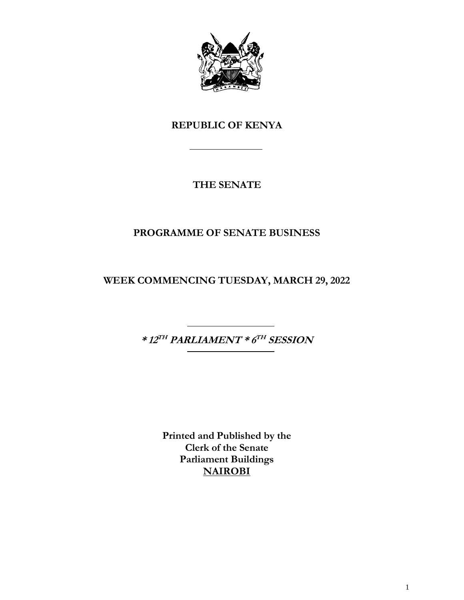

# **REPUBLIC OF KENYA**

# **THE SENATE**

# **PROGRAMME OF SENATE BUSINESS**

**WEEK COMMENCING TUESDAY, MARCH 29, 2022**

**\* 12 TH PARLIAMENT \* 6 TH SESSION**

**Printed and Published by the Clerk of the Senate Parliament Buildings NAIROBI**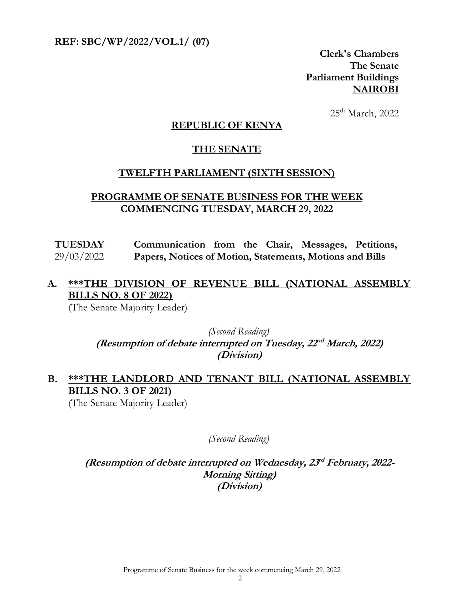**REF: SBC/WP/2022/VOL.1/ (07)** 

**Clerk's Chambers The Senate Parliament Buildings NAIROBI**

25<sup>th</sup> March, 2022

#### **REPUBLIC OF KENYA**

#### **THE SENATE**

#### **TWELFTH PARLIAMENT (SIXTH SESSION)**

#### **PROGRAMME OF SENATE BUSINESS FOR THE WEEK COMMENCING TUESDAY, MARCH 29, 2022**

**TUESDAY** 29/03/2022 **Communication from the Chair, Messages, Petitions, Papers, Notices of Motion, Statements, Motions and Bills**

## **A. \*\*\*THE DIVISION OF REVENUE BILL (NATIONAL ASSEMBLY BILLS NO. 8 OF 2022)**

(The Senate Majority Leader)

*(Second Reading)*  (Resumption of debate interrupted on Tuesday,  $22^{nd}$  March, 2022) **(Division)**

## **B. \*\*\*THE LANDLORD AND TENANT BILL (NATIONAL ASSEMBLY BILLS NO. 3 OF 2021)**

(The Senate Majority Leader)

*(Second Reading)*

**(Resumption of debate interrupted on Wednesday, 23 rd February, 2022- Morning Sitting) (Division)**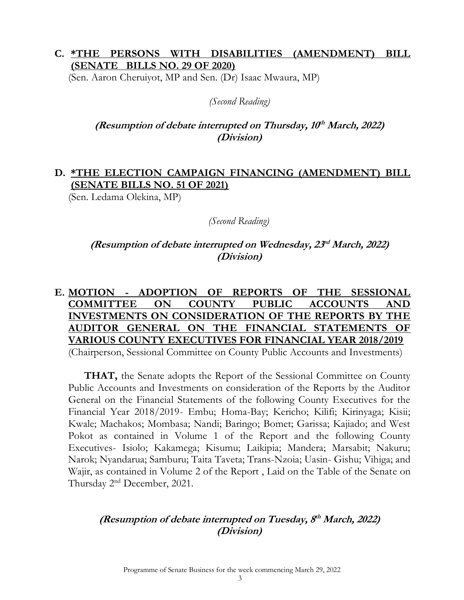#### **C. \*THE PERSONS WITH DISABILITIES (AMENDMENT) BILL (SENATE BILLS NO. 29 OF 2020)**

(Sen. Aaron Cheruiyot, MP and Sen. (Dr) Isaac Mwaura, MP)

#### *(Second Reading)*

### **(Resumption of debate interrupted on Thursday, 10 th March, 2022) (Division)**

## **D. \*THE ELECTION CAMPAIGN FINANCING (AMENDMENT) BILL (SENATE BILLS NO. 51 OF 2021)**

(Sen. Ledama Olekina, MP)

#### *(Second Reading)*

#### **(Resumption of debate interrupted on Wednesday, 23 rd March, 2022) (Division)**

# **E. MOTION - ADOPTION OF REPORTS OF THE SESSIONAL COMMITTEE ON COUNTY PUBLIC ACCOUNTS AND INVESTMENTS ON CONSIDERATION OF THE REPORTS BY THE AUDITOR GENERAL ON THE FINANCIAL STATEMENTS OF VARIOUS COUNTY EXECUTIVES FOR FINANCIAL YEAR 2018/2019**

(Chairperson, Sessional Committee on County Public Accounts and Investments)

**THAT,** the Senate adopts the Report of the Sessional Committee on County Public Accounts and Investments on consideration of the Reports by the Auditor General on the Financial Statements of the following County Executives for the Financial Year 2018/2019- Embu; Homa-Bay; Kericho; Kilifi; Kirinyaga; Kisii; Kwale; Machakos; Mombasa; Nandi; Baringo; Bomet; Garissa; Kajiado; and West Pokot as contained in Volume 1 of the Report and the following County Executives- Isiolo; Kakamega; Kisumu; Laikipia; Mandera; Marsabit; Nakuru; Narok; Nyandarua; Samburu; Taita Taveta; Trans-Nzoia; Uasin- Gishu; Vihiga; and Wajir, as contained in Volume 2 of the Report , Laid on the Table of the Senate on Thursday 2nd December, 2021.

### **(Resumption of debate interrupted on Tuesday, 8 th March, 2022) (Division)**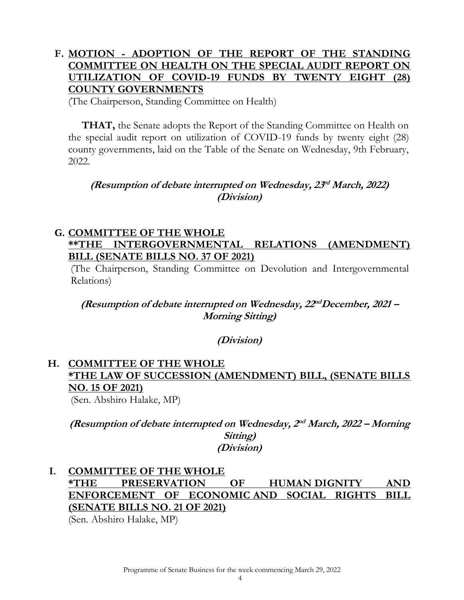## **F. MOTION - ADOPTION OF THE REPORT OF THE STANDING COMMITTEE ON HEALTH ON THE SPECIAL AUDIT REPORT ON UTILIZATION OF COVID-19 FUNDS BY TWENTY EIGHT (28) COUNTY GOVERNMENTS**

(The Chairperson, Standing Committee on Health)

**THAT,** the Senate adopts the Report of the Standing Committee on Health on the special audit report on utilization of COVID-19 funds by twenty eight (28) county governments, laid on the Table of the Senate on Wednesday, 9th February, 2022.

### **(Resumption of debate interrupted on Wednesday, 23 rd March, 2022) (Division)**

### **G. COMMITTEE OF THE WHOLE \*\*THE INTERGOVERNMENTAL RELATIONS (AMENDMENT) BILL (SENATE BILLS NO. 37 OF 2021)**

(The Chairperson, Standing Committee on Devolution and Intergovernmental Relations)

(Resumption of debate interrupted on Wednesday,  $22^{nd}$ December, 2021 – **Morning Sitting)**

**(Division)**

### **H. COMMITTEE OF THE WHOLE \*THE LAW OF SUCCESSION (AMENDMENT) BILL, (SENATE BILLS NO. 15 OF 2021)** (Sen. Abshiro Halake, MP)

**(Resumption of debate interrupted on Wednesday, 2 nd March, 2022 – Morning Sitting) (Division)**

# **I. COMMITTEE OF THE WHOLE \*THE PRESERVATION OF HUMAN DIGNITY AND ENFORCEMENT OF ECONOMIC AND SOCIAL RIGHTS BILL (SENATE BILLS NO. 21 OF 2021)**

(Sen. Abshiro Halake, MP)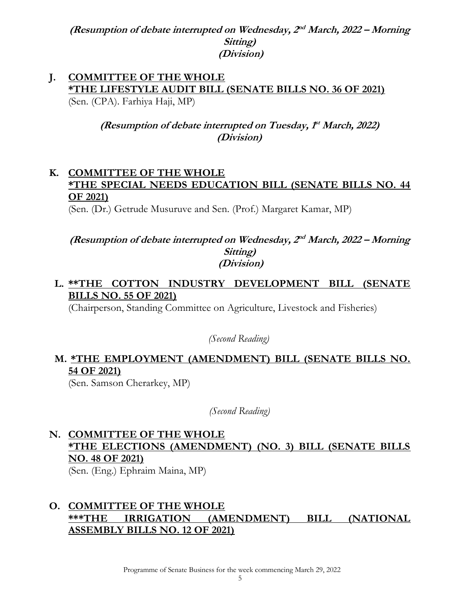(Resumption of debate interrupted on Wednesday, 2<sup>nd</sup> March, 2022 – Morning **Sitting) (Division)**

#### **J. COMMITTEE OF THE WHOLE \*THE LIFESTYLE AUDIT BILL (SENATE BILLS NO. 36 OF 2021)**  (Sen. (CPA). Farhiya Haji, MP)

(Resumption of debate interrupted on Tuesday,  $f^{\text{t}}$  March, 2022) **(Division)**

## **K. COMMITTEE OF THE WHOLE \*THE SPECIAL NEEDS EDUCATION BILL (SENATE BILLS NO. 44 OF 2021)**

(Sen. (Dr.) Getrude Musuruve and Sen. (Prof.) Margaret Kamar, MP)

#### (Resumption of debate interrupted on Wednesday, 2<sup>nd</sup> March, 2022 – Morning **Sitting) (Division)**

## **L. \*\*THE COTTON INDUSTRY DEVELOPMENT BILL (SENATE BILLS NO. 55 OF 2021)**

(Chairperson, Standing Committee on Agriculture, Livestock and Fisheries)

*(Second Reading)*

# **M. \*THE EMPLOYMENT (AMENDMENT) BILL (SENATE BILLS NO. 54 OF 2021)**

(Sen. Samson Cherarkey, MP)

*(Second Reading)*

# **N. COMMITTEE OF THE WHOLE \*THE ELECTIONS (AMENDMENT) (NO. 3) BILL (SENATE BILLS NO. 48 OF 2021)**

(Sen. (Eng.) Ephraim Maina, MP)

### **O. COMMITTEE OF THE WHOLE \*\*\*THE IRRIGATION (AMENDMENT) BILL (NATIONAL ASSEMBLY BILLS NO. 12 OF 2021)**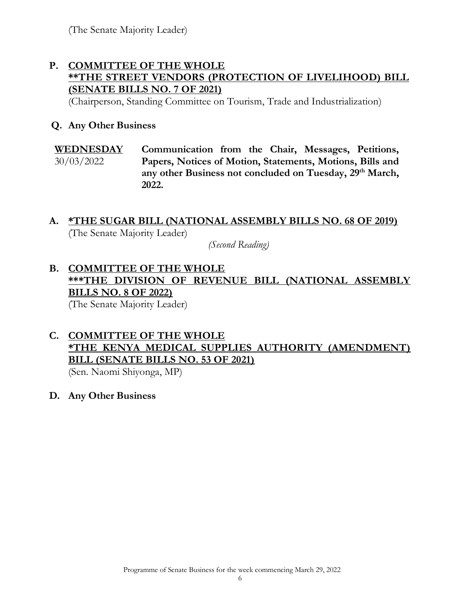(The Senate Majority Leader)

## **P. COMMITTEE OF THE WHOLE \*\*THE STREET VENDORS (PROTECTION OF LIVELIHOOD) BILL (SENATE BILLS NO. 7 OF 2021)**

(Chairperson, Standing Committee on Tourism, Trade and Industrialization)

### **Q. Any Other Business**

**WEDNESDAY**  30/03/2022 **Communication from the Chair, Messages, Petitions, Papers, Notices of Motion, Statements, Motions, Bills and any other Business not concluded on Tuesday, 29th March, 2022.** 

#### **A. \*THE SUGAR BILL (NATIONAL ASSEMBLY BILLS NO. 68 OF 2019)** (The Senate Majority Leader)

*(Second Reading)*

### **B. COMMITTEE OF THE WHOLE \*\*\*THE DIVISION OF REVENUE BILL (NATIONAL ASSEMBLY BILLS NO. 8 OF 2022)** (The Senate Majority Leader)

# **C. COMMITTEE OF THE WHOLE \*THE KENYA MEDICAL SUPPLIES AUTHORITY (AMENDMENT) BILL (SENATE BILLS NO. 53 OF 2021)**

(Sen. Naomi Shiyonga, MP)

**D. Any Other Business**